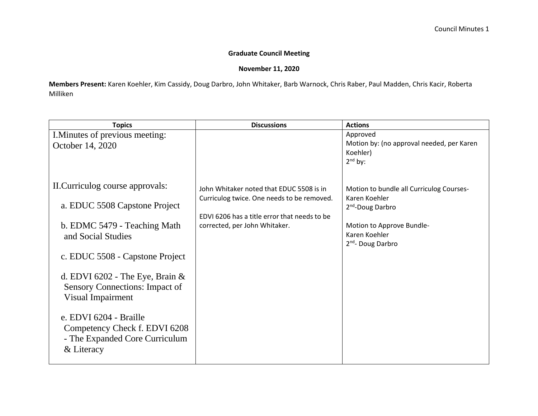## **Graduate Council Meeting**

## **November 11, 2020**

**Members Present:** Karen Koehler, Kim Cassidy, Doug Darbro, John Whitaker, Barb Warnock, Chris Raber, Paul Madden, Chris Kacir, Roberta Milliken

| I. Minutes of previous meeting:<br>October 14, 2020                                                                                                                                                                                                                                                              |                                                                                                                             | Approved<br>Motion by: (no approval needed, per Karen<br>Koehler)                                                            |
|------------------------------------------------------------------------------------------------------------------------------------------------------------------------------------------------------------------------------------------------------------------------------------------------------------------|-----------------------------------------------------------------------------------------------------------------------------|------------------------------------------------------------------------------------------------------------------------------|
|                                                                                                                                                                                                                                                                                                                  |                                                                                                                             | $2nd$ by:                                                                                                                    |
| II. Curriculog course approvals:                                                                                                                                                                                                                                                                                 | John Whitaker noted that EDUC 5508 is in                                                                                    | Motion to bundle all Curriculog Courses-                                                                                     |
| a. EDUC 5508 Capstone Project<br>b. EDMC 5479 - Teaching Math<br>and Social Studies<br>c. EDUC 5508 - Capstone Project<br>d. EDVI 6202 - The Eye, Brain $\&$<br>Sensory Connections: Impact of<br>Visual Impairment<br>e. EDVI 6204 - Braille<br>Competency Check f. EDVI 6208<br>- The Expanded Core Curriculum | Curriculog twice. One needs to be removed.<br>EDVI 6206 has a title error that needs to be<br>corrected, per John Whitaker. | Karen Koehler<br>2 <sup>nd</sup> -Doug Darbro<br>Motion to Approve Bundle-<br>Karen Koehler<br>2 <sup>nd</sup> - Doug Darbro |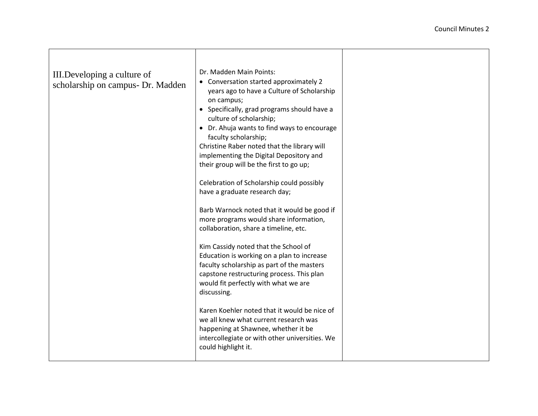| III. Developing a culture of<br>scholarship on campus- Dr. Madden | Dr. Madden Main Points:<br>• Conversation started approximately 2<br>years ago to have a Culture of Scholarship<br>on campus;<br>• Specifically, grad programs should have a<br>culture of scholarship;<br>• Dr. Ahuja wants to find ways to encourage<br>faculty scholarship;<br>Christine Raber noted that the library will<br>implementing the Digital Depository and<br>their group will be the first to go up;<br>Celebration of Scholarship could possibly<br>have a graduate research day;<br>Barb Warnock noted that it would be good if<br>more programs would share information,<br>collaboration, share a timeline, etc.<br>Kim Cassidy noted that the School of<br>Education is working on a plan to increase<br>faculty scholarship as part of the masters<br>capstone restructuring process. This plan<br>would fit perfectly with what we are<br>discussing. |  |
|-------------------------------------------------------------------|-----------------------------------------------------------------------------------------------------------------------------------------------------------------------------------------------------------------------------------------------------------------------------------------------------------------------------------------------------------------------------------------------------------------------------------------------------------------------------------------------------------------------------------------------------------------------------------------------------------------------------------------------------------------------------------------------------------------------------------------------------------------------------------------------------------------------------------------------------------------------------|--|
|                                                                   | Karen Koehler noted that it would be nice of<br>we all knew what current research was<br>happening at Shawnee, whether it be<br>intercollegiate or with other universities. We<br>could highlight it.                                                                                                                                                                                                                                                                                                                                                                                                                                                                                                                                                                                                                                                                       |  |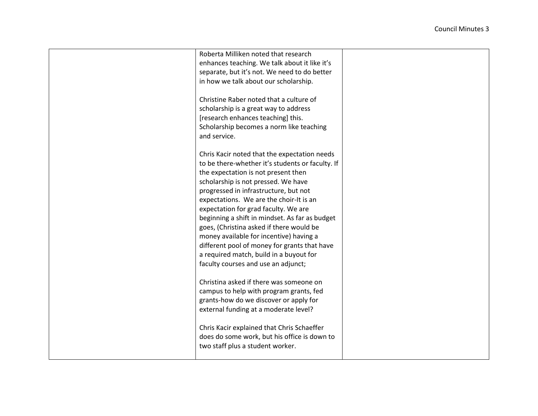| Roberta Milliken noted that research             |  |
|--------------------------------------------------|--|
| enhances teaching. We talk about it like it's    |  |
| separate, but it's not. We need to do better     |  |
| in how we talk about our scholarship.            |  |
|                                                  |  |
| Christine Raber noted that a culture of          |  |
| scholarship is a great way to address            |  |
| [research enhances teaching] this.               |  |
| Scholarship becomes a norm like teaching         |  |
| and service.                                     |  |
|                                                  |  |
| Chris Kacir noted that the expectation needs     |  |
| to be there-whether it's students or faculty. If |  |
| the expectation is not present then              |  |
| scholarship is not pressed. We have              |  |
| progressed in infrastructure, but not            |  |
| expectations. We are the choir-It is an          |  |
| expectation for grad faculty. We are             |  |
| beginning a shift in mindset. As far as budget   |  |
| goes, (Christina asked if there would be         |  |
| money available for incentive) having a          |  |
| different pool of money for grants that have     |  |
| a required match, build in a buyout for          |  |
| faculty courses and use an adjunct;              |  |
|                                                  |  |
| Christina asked if there was someone on          |  |
| campus to help with program grants, fed          |  |
| grants-how do we discover or apply for           |  |
| external funding at a moderate level?            |  |
|                                                  |  |
| Chris Kacir explained that Chris Schaeffer       |  |
| does do some work, but his office is down to     |  |
| two staff plus a student worker.                 |  |
|                                                  |  |
|                                                  |  |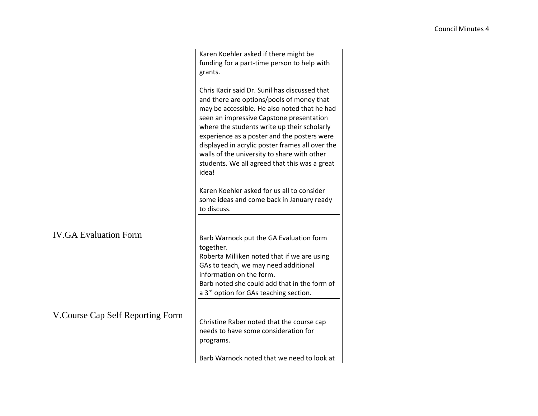|                                   | Karen Koehler asked if there might be              |  |
|-----------------------------------|----------------------------------------------------|--|
|                                   |                                                    |  |
|                                   | funding for a part-time person to help with        |  |
|                                   | grants.                                            |  |
|                                   |                                                    |  |
|                                   | Chris Kacir said Dr. Sunil has discussed that      |  |
|                                   | and there are options/pools of money that          |  |
|                                   |                                                    |  |
|                                   | may be accessible. He also noted that he had       |  |
|                                   | seen an impressive Capstone presentation           |  |
|                                   | where the students write up their scholarly        |  |
|                                   | experience as a poster and the posters were        |  |
|                                   | displayed in acrylic poster frames all over the    |  |
|                                   | walls of the university to share with other        |  |
|                                   |                                                    |  |
|                                   | students. We all agreed that this was a great      |  |
|                                   | idea!                                              |  |
|                                   |                                                    |  |
|                                   | Karen Koehler asked for us all to consider         |  |
|                                   | some ideas and come back in January ready          |  |
|                                   | to discuss.                                        |  |
|                                   |                                                    |  |
|                                   |                                                    |  |
| <b>IV.GA Evaluation Form</b>      |                                                    |  |
|                                   | Barb Warnock put the GA Evaluation form            |  |
|                                   | together.                                          |  |
|                                   | Roberta Milliken noted that if we are using        |  |
|                                   | GAs to teach, we may need additional               |  |
|                                   | information on the form.                           |  |
|                                   |                                                    |  |
|                                   | Barb noted she could add that in the form of       |  |
|                                   | a 3 <sup>rd</sup> option for GAs teaching section. |  |
|                                   |                                                    |  |
|                                   |                                                    |  |
| V. Course Cap Self Reporting Form | Christine Raber noted that the course cap          |  |
|                                   | needs to have some consideration for               |  |
|                                   |                                                    |  |
|                                   | programs.                                          |  |
|                                   |                                                    |  |
|                                   | Barb Warnock noted that we need to look at         |  |